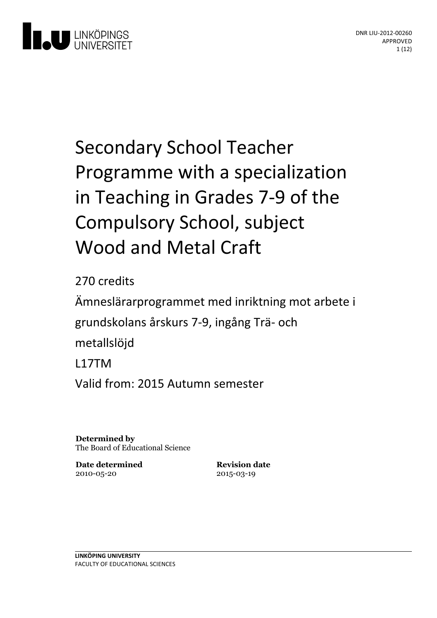

# Secondary School Teacher Programme with a specialization in Teaching in Grades 7-9 of the Compulsory School, subject Wood and Metal Craft

270 credits

Ämneslärarprogrammet med inriktning motarbete i grundskolansårskurs 7-9, ingångTrä- och metallslöjd L17TM Valid from: 2015 Autumn semester

**Determined by** The Board of Educational Science

**Date determined** 2010-05-20

**Revision date** 2015-03-19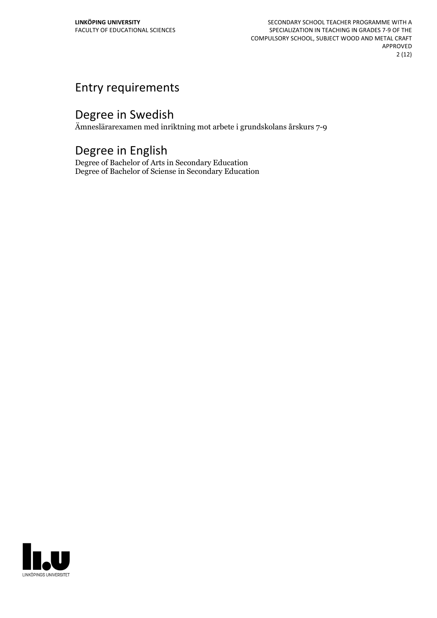SECONDARY SCHOOL TEACHER PROGRAMME WITH A SPECIALIZATION IN TEACHING IN GRADES 7-9 OF THE COMPULSORY SCHOOL, SUBJECT WOOD AND METAL CRAFT APPROVED 2 (12)

# Entry requirements

## Degree in Swedish

Ämneslärarexamen med inriktning mot arbete i grundskolans årskurs 7-9

## Degree in English

Degree of Bachelor of Arts in Secondary Education Degree of Bachelor of Sciense in Secondary Education

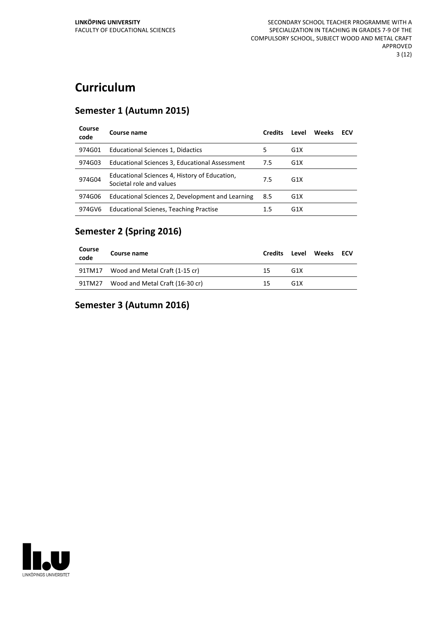# **Curriculum**

#### **Semester 1 (Autumn 2015)**

| Course<br>code | Course name                                                               | <b>Credits</b> | Level            | Weeks | ECV |
|----------------|---------------------------------------------------------------------------|----------------|------------------|-------|-----|
| 974G01         | Educational Sciences 1, Didactics                                         | 5              | G <sub>1</sub> X |       |     |
| 974G03         | Educational Sciences 3, Educational Assessment                            | 7.5            | G <sub>1</sub> X |       |     |
| 974G04         | Educational Sciences 4, History of Education,<br>Societal role and values | 7.5            | G <sub>1</sub> X |       |     |
| 974G06         | Educational Sciences 2, Development and Learning                          | 8.5            | G <sub>1</sub> X |       |     |
| 974GV6         | <b>Educational Scienes, Teaching Practise</b>                             | 1.5            | G <sub>1</sub> X |       |     |

#### **Semester 2 (Spring 2016)**

| Course<br>code | Course name                     | <b>Credits</b> | Level            | Weeks ECV |  |
|----------------|---------------------------------|----------------|------------------|-----------|--|
| 91TM17         | Wood and Metal Craft (1-15 cr)  | 15             | G <sub>1X</sub>  |           |  |
| 91TM27         | Wood and Metal Craft (16-30 cr) | 15             | G <sub>1</sub> X |           |  |

#### **Semester 3 (Autumn 2016)**

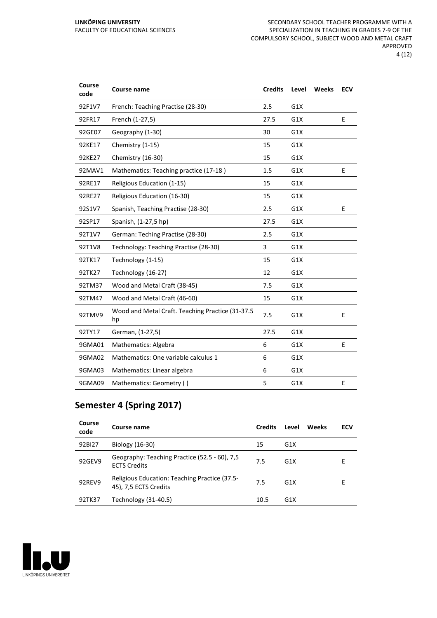| Course<br>code | Course name                                            | <b>Credits</b> | Level | Weeks | <b>ECV</b> |
|----------------|--------------------------------------------------------|----------------|-------|-------|------------|
| 92F1V7         | French: Teaching Practise (28-30)                      | 2.5            | G1X   |       |            |
| 92FR17         | French (1-27,5)                                        | 27.5           | G1X   |       | E          |
| 92GE07         | Geography (1-30)                                       | 30             | G1X   |       |            |
| 92KE17         | Chemistry (1-15)                                       | 15             | G1X   |       |            |
| 92KE27         | Chemistry (16-30)                                      | 15             | G1X   |       |            |
| 92MAV1         | Mathematics: Teaching practice (17-18)                 | 1.5            | G1X   |       | E          |
| 92RE17         | Religious Education (1-15)                             | 15             | G1X   |       |            |
| 92RE27         | Religious Education (16-30)                            | 15             | G1X   |       |            |
| 92S1V7         | Spanish, Teaching Practise (28-30)                     | 2.5            | G1X   |       | E          |
| 92SP17         | Spanish, (1-27,5 hp)                                   | 27.5           | G1X   |       |            |
| 92T1V7         | German: Teching Practise (28-30)                       | 2.5            | G1X   |       |            |
| 92T1V8         | Technology: Teaching Practise (28-30)                  | 3              | G1X   |       |            |
| 92TK17         | Technology (1-15)                                      | 15             | G1X   |       |            |
| 92TK27         | Technology (16-27)                                     | 12             | G1X   |       |            |
| 92TM37         | Wood and Metal Craft (38-45)                           | 7.5            | G1X   |       |            |
| 92TM47         | Wood and Metal Craft (46-60)                           | 15             | G1X   |       |            |
| 92TMV9         | Wood and Metal Craft. Teaching Practice (31-37.5<br>hp | 7.5            | G1X   |       | E          |
| 92TY17         | German, (1-27,5)                                       | 27.5           | G1X   |       |            |
| 9GMA01         | Mathematics: Algebra                                   | 6              | G1X   |       | E          |
| 9GMA02         | Mathematics: One variable calculus 1                   | 6              | G1X   |       |            |
| 9GMA03         | Mathematics: Linear algebra                            | 6              | G1X   |       |            |
| 9GMA09         | Mathematics: Geometry ()                               | 5              | G1X   |       | E          |

#### **Semester 4 (Spring 2017)**

| Course<br>code | Course name                                                            | <b>Credits</b> | Level            | Weeks | <b>ECV</b> |
|----------------|------------------------------------------------------------------------|----------------|------------------|-------|------------|
| 92BI27         | Biology (16-30)                                                        | 15             | G <sub>1</sub> X |       |            |
| 92GEV9         | Geography: Teaching Practice (52.5 - 60), 7,5<br><b>ECTS Credits</b>   | 7.5            | G <sub>1</sub> X |       | F          |
| 92REV9         | Religious Education: Teaching Practice (37.5-<br>45), 7,5 ECTS Credits | 7.5            | G <sub>1</sub> X |       | E          |
| 92TK37         | Technology (31-40.5)                                                   | 10.5           | G <sub>1</sub> X |       |            |

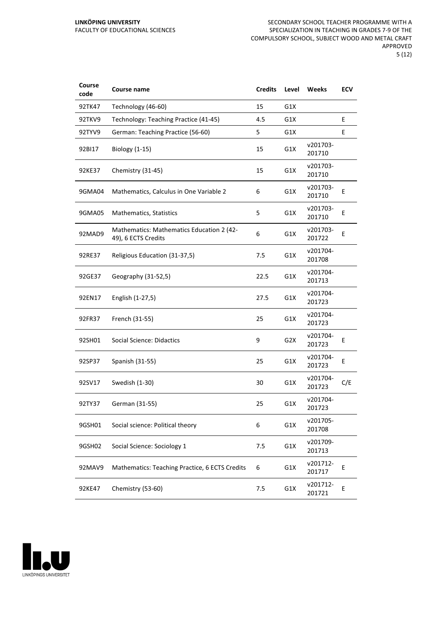| Course<br>code | Course name                                                      | <b>Credits</b> | Level | Weeks              | <b>ECV</b> |
|----------------|------------------------------------------------------------------|----------------|-------|--------------------|------------|
| 92TK47         | Technology (46-60)                                               | 15             | G1X   |                    |            |
| 92TKV9         | Technology: Teaching Practice (41-45)                            | 4.5            | G1X   |                    | E          |
| 92TYV9         | German: Teaching Practice (56-60)                                | 5              | G1X   |                    | E          |
| 92BI17         | <b>Biology (1-15)</b>                                            | 15             | G1X   | v201703-<br>201710 |            |
| 92KE37         | Chemistry (31-45)                                                | 15             | G1X   | v201703-<br>201710 |            |
| 9GMA04         | Mathematics, Calculus in One Variable 2                          | 6              | G1X   | v201703-<br>201710 | E          |
| 9GMA05         | Mathematics, Statistics                                          | 5              | G1X   | v201703-<br>201710 | E          |
| 92MAD9         | Mathematics: Mathematics Education 2 (42-<br>49), 6 ECTS Credits | 6              | G1X   | v201703-<br>201722 | E          |
| 92RE37         | Religious Education (31-37,5)                                    | 7.5            | G1X   | v201704-<br>201708 |            |
| 92GE37         | Geography (31-52,5)                                              | 22.5           | G1X   | v201704-<br>201713 |            |
| 92EN17         | English (1-27,5)                                                 | 27.5           | G1X   | v201704-<br>201723 |            |
| 92FR37         | French (31-55)                                                   | 25             | G1X   | v201704-<br>201723 |            |
| 92SH01         | <b>Social Science: Didactics</b>                                 | 9              | G2X   | v201704-<br>201723 | E          |
| 92SP37         | Spanish (31-55)                                                  | 25             | G1X   | v201704-<br>201723 | Ε          |
| 92SV17         | Swedish (1-30)                                                   | 30             | G1X   | v201704-<br>201723 | C/E        |
| 92TY37         | German (31-55)                                                   | 25             | G1X   | v201704-<br>201723 |            |
| 9GSH01         | Social science: Political theory                                 | 6              | G1X   | v201705-<br>201708 |            |
| 9GSH02         | Social Science: Sociology 1                                      | 7.5            | G1X   | v201709-<br>201713 |            |
| 92MAV9         | Mathematics: Teaching Practice, 6 ECTS Credits                   | 6              | G1X   | v201712-<br>201717 | Е          |
| 92KE47         | Chemistry (53-60)                                                | 7.5            | G1X   | v201712-<br>201721 | Ε          |

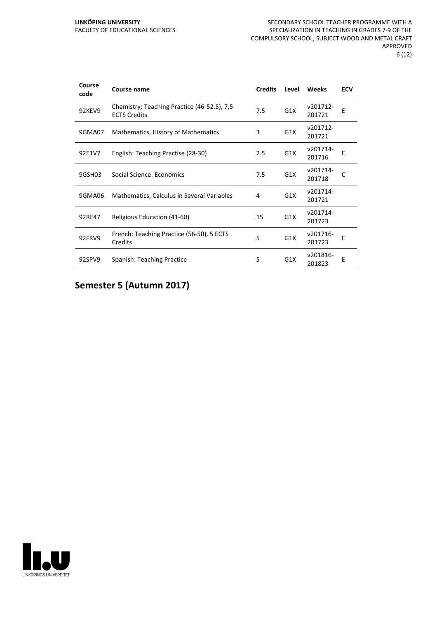| Course<br>code | Course name                                                        | <b>Credits</b> | Level            | Weeks              | <b>ECV</b> |
|----------------|--------------------------------------------------------------------|----------------|------------------|--------------------|------------|
| 92KEV9         | Chemistry: Teaching Practice (46-52.5), 7,5<br><b>ECTS Credits</b> | 7.5            | G1X              | v201712-<br>201721 | E          |
| 9GMA07         | Mathematics, History of Mathematics                                | 3              | G1X              | v201712-<br>201721 |            |
| 92E1V7         | English: Teaching Practise (28-30)                                 | 2.5            | G1X              | v201714-<br>201716 | Е          |
| 9GSH03         | Social Science: Economics                                          | 7.5            | G1X              | v201714-<br>201718 | C          |
| 9GMA06         | Mathematics, Calculus in Several Variables                         | 4              | G1X              | v201714-<br>201721 |            |
| 92RE47         | Religious Education (41-60)                                        | 15             | G1X              | v201714-<br>201723 |            |
| 92FRV9         | French: Teaching Practice (56-50), 5 ECTS<br>Credits               | 5              | G1X              | v201716-<br>201723 | Е          |
| 92SPV9         | Spanish: Teaching Practice                                         | 5              | G <sub>1</sub> X | v201816-<br>201823 | E          |

#### **Semester 5 (Autumn 2017)**

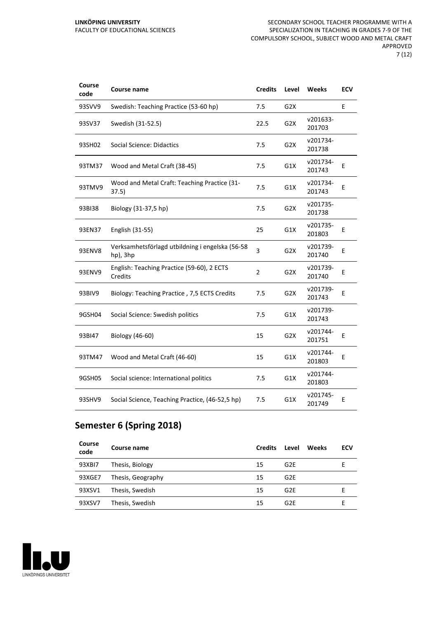| Course<br>code | <b>Course name</b>                                          | <b>Credits</b> | Level            | Weeks              | <b>ECV</b> |
|----------------|-------------------------------------------------------------|----------------|------------------|--------------------|------------|
| 93SVV9         | Swedish: Teaching Practice (53-60 hp)                       | 7.5            | G <sub>2</sub> X |                    | E          |
| 93SV37         | Swedish (31-52.5)                                           | 22.5           | G <sub>2</sub> X | v201633-<br>201703 |            |
| 93SH02         | Social Science: Didactics                                   | 7.5            | G <sub>2</sub> X | v201734-<br>201738 |            |
| 93TM37         | Wood and Metal Craft (38-45)                                | 7.5            | G1X              | v201734-<br>201743 | Е          |
| 93TMV9         | Wood and Metal Craft: Teaching Practice (31-<br>37.5)       | 7.5            | G1X              | v201734-<br>201743 | E          |
| 93BI38         | Biology (31-37,5 hp)                                        | 7.5            | G <sub>2</sub> X | v201735-<br>201738 |            |
| 93EN37         | English (31-55)                                             | 25             | G1X              | v201735-<br>201803 | E          |
| 93ENV8         | Verksamhetsförlagd utbildning i engelska (56-58<br>hp), 3hp | 3              | G2X              | v201739-<br>201740 | E          |
| 93ENV9         | English: Teaching Practice (59-60), 2 ECTS<br>Credits       | $\overline{2}$ | G <sub>2</sub> X | v201739-<br>201740 | Е          |
| 93BIV9         | Biology: Teaching Practice, 7,5 ECTS Credits                | 7.5            | G <sub>2</sub> X | v201739-<br>201743 | E          |
| 9GSH04         | Social Science: Swedish politics                            | 7.5            | G1X              | v201739-<br>201743 |            |
| 93BI47         | Biology (46-60)                                             | 15             | G <sub>2</sub> X | v201744-<br>201751 | E          |
| 93TM47         | Wood and Metal Craft (46-60)                                | 15             | G1X              | v201744-<br>201803 | E          |
| 9GSH05         | Social science: International politics                      | 7.5            | G1X              | v201744-<br>201803 |            |
| 93SHV9         | Social Science, Teaching Practice, (46-52,5 hp)             | 7.5            | G1X              | v201745-<br>201749 | E          |

## **Semester 6 (Spring 2018)**

| Course<br>code | Course name       | <b>Credits</b> | Level           | <b>Weeks</b> | ECV |
|----------------|-------------------|----------------|-----------------|--------------|-----|
| 93XBI7         | Thesis, Biology   | 15             | G <sub>2E</sub> |              |     |
| 93XGE7         | Thesis, Geography | 15             | G <sub>2E</sub> |              |     |
| 93XSV1         | Thesis, Swedish   | 15             | G <sub>2E</sub> |              |     |
| 93XSV7         | Thesis, Swedish   | 15             | G <sub>2E</sub> |              |     |

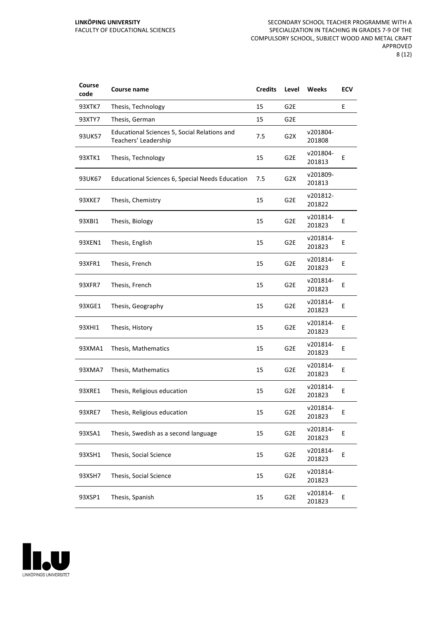#### **LINKÖPING UNIVERSITY** FACULTY OF EDUCATIONAL SCIENCES

| Course<br>code | Course name                                                          | <b>Credits</b> | Level            | Weeks              | ECV |
|----------------|----------------------------------------------------------------------|----------------|------------------|--------------------|-----|
| 93XTK7         | Thesis, Technology                                                   | 15             | G <sub>2E</sub>  |                    | E   |
| 93XTY7         | Thesis, German                                                       | 15             | G <sub>2E</sub>  |                    |     |
| 93UK57         | Educational Sciences 5, Social Relations and<br>Teachers' Leadership | 7.5            | G <sub>2</sub> X | v201804-<br>201808 |     |
| 93XTK1         | Thesis, Technology                                                   | 15             | G <sub>2E</sub>  | v201804-<br>201813 | E   |
| 93UK67         | Educational Sciences 6, Special Needs Education                      | 7.5            | G <sub>2</sub> X | v201809-<br>201813 |     |
| 93XKE7         | Thesis, Chemistry                                                    | 15             | G <sub>2E</sub>  | v201812-<br>201822 |     |
| 93XBI1         | Thesis, Biology                                                      | 15             | G2E              | v201814-<br>201823 | E   |
| 93XEN1         | Thesis, English                                                      | 15             | G2E              | v201814-<br>201823 | E   |
| 93XFR1         | Thesis, French                                                       | 15             | G2E              | v201814-<br>201823 | E   |
| 93XFR7         | Thesis, French                                                       | 15             | G <sub>2E</sub>  | v201814-<br>201823 | E   |
| 93XGE1         | Thesis, Geography                                                    | 15             | G <sub>2E</sub>  | v201814-<br>201823 | E   |
| 93XHI1         | Thesis, History                                                      | 15             | G2E              | v201814-<br>201823 | E   |
| 93XMA1         | Thesis, Mathematics                                                  | 15             | G2E              | v201814-<br>201823 | E   |
| 93XMA7         | Thesis, Mathematics                                                  | 15             | G <sub>2E</sub>  | v201814-<br>201823 | Ε   |
| 93XRE1         | Thesis, Religious education                                          | 15             | G <sub>2E</sub>  | v201814-<br>201823 | E   |
| 93XRE7         | Thesis, Religious education                                          | 15             | G2E              | v201814-<br>201823 | Е.  |
| 93XSA1         | Thesis, Swedish as a second language                                 | 15             | G2E              | v201814-<br>201823 | E   |
| 93XSH1         | Thesis, Social Science                                               | 15             | G <sub>2E</sub>  | v201814-<br>201823 | E   |
| 93XSH7         | Thesis, Social Science                                               | 15             | G <sub>2E</sub>  | v201814-<br>201823 |     |
| 93XSP1         | Thesis, Spanish                                                      | 15             | G <sub>2E</sub>  | v201814-<br>201823 | E   |

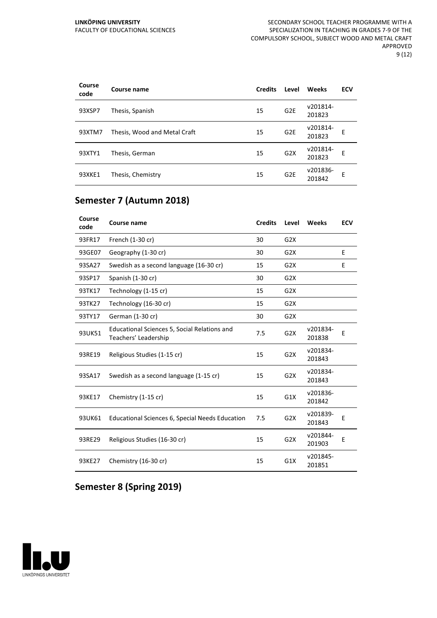| Course<br>code | Course name                  | <b>Credits</b> | Level           | Weeks              | <b>ECV</b> |
|----------------|------------------------------|----------------|-----------------|--------------------|------------|
| 93XSP7         | Thesis, Spanish              | 15             | G <sub>2E</sub> | v201814-<br>201823 |            |
| 93XTM7         | Thesis, Wood and Metal Craft | 15             | G <sub>2E</sub> | v201814-<br>201823 | E          |
| 93XTY1         | Thesis, German               | 15             | G2X             | v201814-<br>201823 | E          |
| 93XKE1         | Thesis, Chemistry            | 15             | G <sub>2E</sub> | v201836-<br>201842 | E          |

## **Semester 7 (Autumn 2018)**

| Course<br>code | <b>Course name</b>                                                   | <b>Credits</b> | Level            | Weeks              | <b>ECV</b> |
|----------------|----------------------------------------------------------------------|----------------|------------------|--------------------|------------|
| 93FR17         | French (1-30 cr)                                                     | 30             | G2X              |                    |            |
| 93GE07         | Geography (1-30 cr)                                                  | 30             | G2X              |                    | E          |
| 93SA27         | Swedish as a second language (16-30 cr)                              | 15             | G <sub>2</sub> X |                    | E          |
| 93SP17         | Spanish (1-30 cr)                                                    | 30             | G2X              |                    |            |
| 93TK17         | Technology (1-15 cr)                                                 | 15             | G2X              |                    |            |
| 93TK27         | Technology (16-30 cr)                                                | 15             | G2X              |                    |            |
| 93TY17         | German (1-30 cr)                                                     | 30             | G2X              |                    |            |
| 93UK51         | Educational Sciences 5, Social Relations and<br>Teachers' Leadership | 7.5            | G2X              | v201834-<br>201838 | E          |
| 93RE19         | Religious Studies (1-15 cr)                                          | 15             | G2X              | v201834-<br>201843 |            |
| 93SA17         | Swedish as a second language (1-15 cr)                               | 15             | G <sub>2</sub> X | v201834-<br>201843 |            |
| 93KE17         | Chemistry (1-15 cr)                                                  | 15             | G1X              | v201836-<br>201842 |            |
| 93UK61         | Educational Sciences 6, Special Needs Education                      | 7.5            | G2X              | v201839-<br>201843 | E          |
| 93RE29         | Religious Studies (16-30 cr)                                         | 15             | G2X              | v201844-<br>201903 | E          |
| 93KE27         | Chemistry (16-30 cr)                                                 | 15             | G1X              | v201845-<br>201851 |            |

#### **Semester 8 (Spring 2019)**

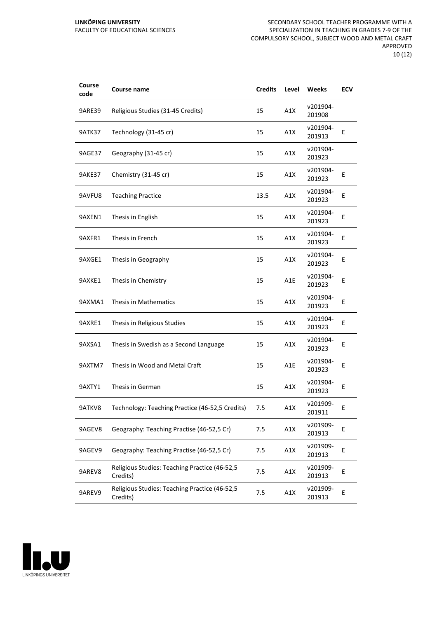#### **LINKÖPING UNIVERSITY** FACULTY OF EDUCATIONAL SCIENCES

SECONDARY SCHOOL TEACHER PROGRAMME WITH A SPECIALIZATION IN TEACHING IN GRADES 7-9 OF THE COMPULSORY SCHOOL, SUBJECT WOOD AND METAL CRAFT APPROVED 10 (12)

| Course<br>code | Course name                                               | <b>Credits</b> | Level | Weeks              | ECV |
|----------------|-----------------------------------------------------------|----------------|-------|--------------------|-----|
| <b>9ARE39</b>  | Religious Studies (31-45 Credits)                         | 15             | A1X   | v201904-<br>201908 |     |
| 9ATK37         | Technology (31-45 cr)                                     | 15             | A1X   | v201904-<br>201913 | Ε   |
| 9AGE37         | Geography (31-45 cr)                                      | 15             | A1X   | v201904-<br>201923 |     |
| 9AKE37         | Chemistry (31-45 cr)                                      | 15             | A1X   | v201904-<br>201923 | E   |
| 9AVFU8         | <b>Teaching Practice</b>                                  | 13.5           | A1X   | v201904-<br>201923 | Ε   |
| 9AXEN1         | Thesis in English                                         | 15             | A1X   | v201904-<br>201923 | E   |
| 9AXFR1         | Thesis in French                                          | 15             | A1X   | v201904-<br>201923 | Е   |
| 9AXGE1         | Thesis in Geography                                       | 15             | A1X   | v201904-<br>201923 | Ε   |
| 9AXKE1         | Thesis in Chemistry                                       | 15             | A1E   | v201904-<br>201923 | E   |
| 9AXMA1         | Thesis in Mathematics                                     | 15             | A1X   | v201904-<br>201923 | E   |
| 9AXRE1         | Thesis in Religious Studies                               | 15             | A1X   | v201904-<br>201923 | E   |
| 9AXSA1         | Thesis in Swedish as a Second Language                    | 15             | A1X   | v201904-<br>201923 | Ε   |
| 9AXTM7         | Thesis in Wood and Metal Craft                            | 15             | A1E   | v201904-<br>201923 | E   |
| 9AXTY1         | Thesis in German                                          | 15             | A1X   | v201904-<br>201923 | E   |
| 9ATKV8         | Technology: Teaching Practice (46-52,5 Credits)           | 7.5            | A1X   | v201909-<br>201911 | E   |
| 9AGEV8         | Geography: Teaching Practise (46-52,5 Cr)                 | 7.5            | A1X   | v201909-<br>201913 | E   |
| 9AGEV9         | Geography: Teaching Practise (46-52,5 Cr)                 | 7.5            | A1X   | v201909-<br>201913 | E   |
| 9AREV8         | Religious Studies: Teaching Practice (46-52,5<br>Credits) | 7.5            | A1X   | v201909-<br>201913 | Е   |
| 9AREV9         | Religious Studies: Teaching Practice (46-52,5<br>Credits) | 7.5            | A1X   | v201909-<br>201913 | E   |

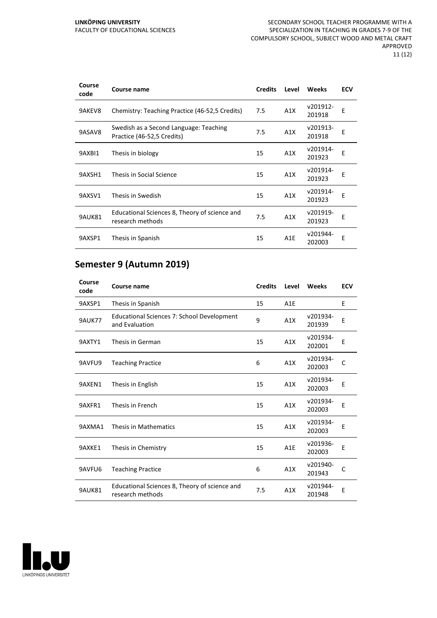| Course<br>code | Course name                                                          | <b>Credits</b> | Level            | <b>Weeks</b>       | <b>ECV</b> |
|----------------|----------------------------------------------------------------------|----------------|------------------|--------------------|------------|
| 9AKEV8         | Chemistry: Teaching Practice (46-52,5 Credits)                       | 7.5            | A1X              | v201912-<br>201918 | E          |
| 9ASAV8         | Swedish as a Second Language: Teaching<br>Practice (46-52,5 Credits) | 7.5            | A1X              | v201913-<br>201918 | E          |
| 9AXBI1         | Thesis in biology                                                    | 15             | A1X              | v201914-<br>201923 | E          |
| 9AXSH1         | Thesis in Social Science                                             | 15             | A1X              | v201914-<br>201923 | E          |
| 9AXSV1         | Thesis in Swedish                                                    | 15             | A1X              | v201914-<br>201923 | E          |
| 9AUK81         | Educational Sciences 8, Theory of science and<br>research methods    | 7.5            | A1X              | v201919-<br>201923 | F          |
| 9AXSP1         | Thesis in Spanish                                                    | 15             | A <sub>1</sub> E | v201944-<br>202003 | E          |

## **Semester 9 (Autumn 2019)**

| Course<br>code | Course name                                                       | <b>Credits</b> | Level            | Weeks              | <b>ECV</b> |
|----------------|-------------------------------------------------------------------|----------------|------------------|--------------------|------------|
| 9AXSP1         | Thesis in Spanish                                                 | 15             | A1E              |                    | E          |
| <b>9AUK77</b>  | Educational Sciences 7: School Development<br>and Evaluation      | 9              | A1X              | v201934-<br>201939 | E          |
| 9AXTY1         | Thesis in German                                                  | 15             | A1X              | v201934-<br>202001 | E          |
| 9AVFU9         | <b>Teaching Practice</b>                                          | 6              | A1X              | v201934-<br>202003 | C          |
| 9AXEN1         | Thesis in English                                                 | 15             | A1X              | v201934-<br>202003 | E          |
| 9AXFR1         | Thesis in French                                                  | 15             | A1X              | v201934-<br>202003 | E          |
| 9AXMA1         | Thesis in Mathematics                                             | 15             | A1X              | v201934-<br>202003 | E          |
| 9AXKE1         | Thesis in Chemistry                                               | 15             | A <sub>1</sub> E | v201936-<br>202003 | E          |
| 9AVFU6         | <b>Teaching Practice</b>                                          | 6              | A1X              | v201940-<br>201943 | C          |
| <b>9AUK81</b>  | Educational Sciences 8, Theory of science and<br>research methods | 7.5            | A1X              | v201944-<br>201948 | E          |